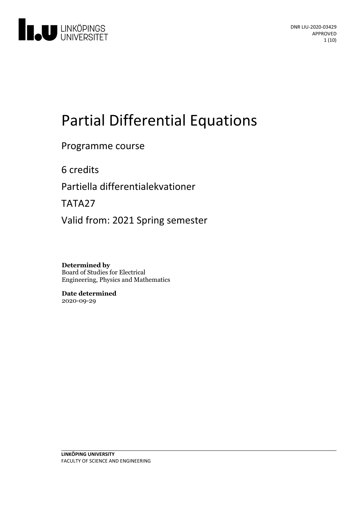

# Partial Differential Equations

Programme course

6 credits

Partiella differentialekvationer

TATA27

Valid from: 2021 Spring semester

**Determined by** Board of Studies for Electrical Engineering, Physics and Mathematics

**Date determined** 2020-09-29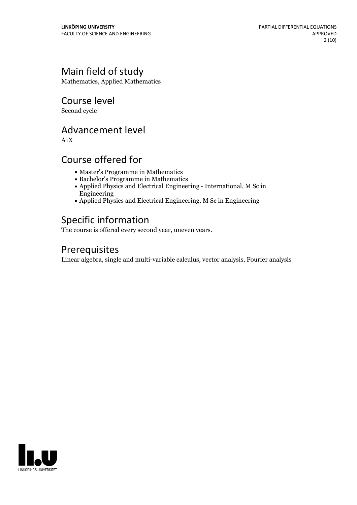# Main field of study

Mathematics, Applied Mathematics

Course level

Second cycle

# Advancement level

A1X

# Course offered for

- Master's Programme in Mathematics
- Bachelor's Programme in Mathematics
- Applied Physics and Electrical Engineering International, M Sc in Engineering
- Applied Physics and Electrical Engineering, M Sc in Engineering

# Specific information

The course is offered every second year, uneven years.

# Prerequisites

Linear algebra, single and multi-variable calculus, vector analysis, Fourier analysis

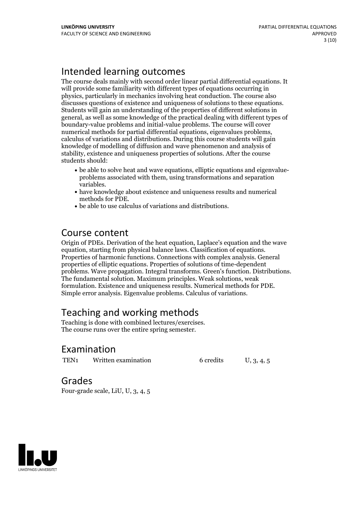# Intended learning outcomes

The course deals mainly with second order linear partial differential equations. It will provide some familiarity with different types of equations occurring in physics, particularly in mechanics involving heat conduction. The course also Students will gain an understanding of the properties of different solutions in general, as well as some knowledge of the practical dealing with different types of boundary-value problems and initial-value problems. The course will cover numerical methods for partial differential equations, eigenvalues problems, calculus of variations and distributions. During this course students will gain knowledge of modelling of diffusion and wave phenomenon and analysis of stability, existence and uniqueness properties of solutions. After the course students should:

- be able to solve heat and wave equations, elliptic equations and eigenvalue- problems associated with them, using transformations and separation variables. have knowledge about existence and uniqueness results and numerical
- methods for PDE.<br>• be able to use calculus of variations and distributions.
- 

### Course content

Origin of PDEs. Derivation of the heat equation, Laplace's equation and the wave equation, starting from physical balance laws. Classification of equations. Properties of harmonic functions. Connections with complex analysis. General properties of elliptic equations. Properties of solutions of time-dependent problems. Wave propagation. Integral transforms. Green's function. Distributions. The fundamental solution. Maximum principles. Weak solutions, weak formulation. Existence and uniqueness results. Numerical methods for PDE. Simple error analysis. Eigenvalue problems. Calculus of variations.

# Teaching and working methods

Teaching is done with combined lectures/exercises. The course runs over the entire spring semester.

## Examination

TEN<sub>1</sub> Written examination 6 credits U, 3, 4, 5

Grades

Four-grade scale, LiU, U, 3, 4, 5

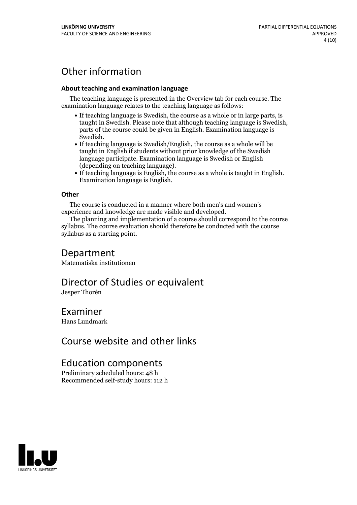# Other information

### **About teaching and examination language**

The teaching language is presented in the Overview tab for each course. The examination language relates to the teaching language as follows:

- If teaching language is Swedish, the course as a whole or in large parts, is taught in Swedish. Please note that although teaching language is Swedish, parts of the course could be given in English. Examination language is
- Swedish.<br>• If teaching language is Swedish/English, the course as a whole will be taught in English if students without prior knowledge of the Swedish language participate. Examination language is Swedish or English
- (depending on teaching language).<br>
 If teaching language is English, the course as a whole is taught in English.<br>
Examination language is English.

### **Other**

The course is conducted in a manner where both men's and women's

experience and knowledge are made visible and developed. The planning and implementation of <sup>a</sup> course should correspond to the course syllabus. The course evaluation should therefore be conducted with the course syllabus as a starting point.

### Department

Matematiska institutionen

### Director of Studies or equivalent

Jesper Thorén

### Examiner

Hans Lundmark

# Course website and other links

## Education components

Preliminary scheduled hours: 48 h Recommended self-study hours: 112 h

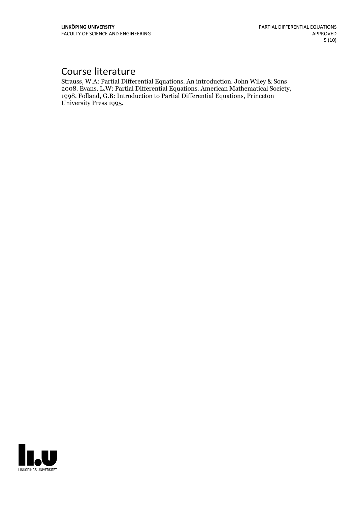# Course literature

Strauss, W.A: Partial Differential Equations. An introduction. John Wiley & Sons 1998. Folland, G.B: Introduction to Partial Differential Equations, Princeton University Press 1995.

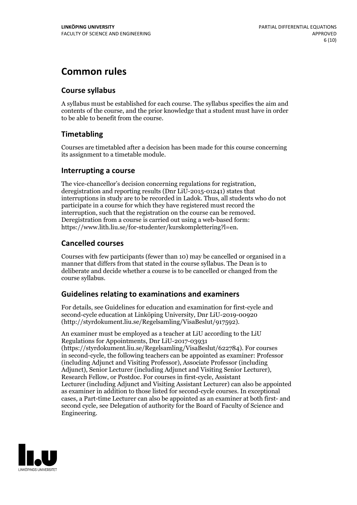# **Common rules**

### **Course syllabus**

A syllabus must be established for each course. The syllabus specifies the aim and contents of the course, and the prior knowledge that a student must have in order to be able to benefit from the course.

### **Timetabling**

Courses are timetabled after a decision has been made for this course concerning its assignment to a timetable module.

### **Interrupting a course**

The vice-chancellor's decision concerning regulations for registration, deregistration and reporting results (Dnr LiU-2015-01241) states that interruptions in study are to be recorded in Ladok. Thus, all students who do not participate in a course for which they have registered must record the interruption, such that the registration on the course can be removed. Deregistration from <sup>a</sup> course is carried outusing <sup>a</sup> web-based form: https://www.lith.liu.se/for-studenter/kurskomplettering?l=en.

### **Cancelled courses**

Courses with few participants (fewer than 10) may be cancelled or organised in a manner that differs from that stated in the course syllabus. The Dean is to deliberate and decide whether a course is to be cancelled or changed from the course syllabus.

### **Guidelines relatingto examinations and examiners**

For details, see Guidelines for education and examination for first-cycle and second-cycle education at Linköping University, Dnr LiU-2019-00920 (http://styrdokument.liu.se/Regelsamling/VisaBeslut/917592).

An examiner must be employed as a teacher at LiU according to the LiU Regulations for Appointments, Dnr LiU-2017-03931 (https://styrdokument.liu.se/Regelsamling/VisaBeslut/622784). For courses in second-cycle, the following teachers can be appointed as examiner: Professor (including Adjunct and Visiting Professor), Associate Professor (including Adjunct), Senior Lecturer (including Adjunct and Visiting Senior Lecturer), Research Fellow, or Postdoc. For courses in first-cycle, Assistant Lecturer (including Adjunct and Visiting Assistant Lecturer) can also be appointed as examiner in addition to those listed for second-cycle courses. In exceptional cases, a Part-time Lecturer can also be appointed as an examiner at both first- and second cycle, see Delegation of authority for the Board of Faculty of Science and Engineering.

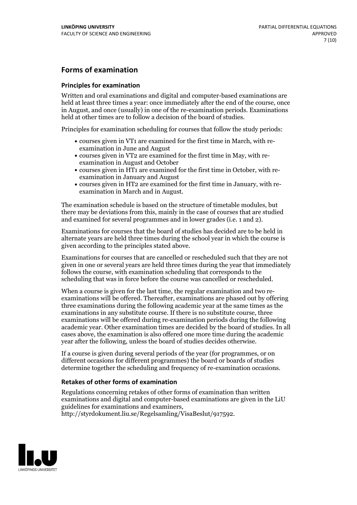### **Forms of examination**

#### **Principles for examination**

Written and oral examinations and digital and computer-based examinations are held at least three times a year: once immediately after the end of the course, once in August, and once (usually) in one of the re-examination periods. Examinations held at other times are to follow a decision of the board of studies.

Principles for examination scheduling for courses that follow the study periods:

- courses given in VT1 are examined for the first time in March, with re-examination in June and August
- courses given in VT2 are examined for the first time in May, with re-examination in August and October
- courses given in HT1 are examined for the first time in October, with re-examination in January and August
- courses given in HT2 are examined for the first time in January, with re-examination in March and in August.

The examination schedule is based on the structure of timetable modules, but there may be deviations from this, mainly in the case of courses that are studied and examined for several programmes and in lower grades (i.e. 1 and 2).

Examinations for courses that the board of studies has decided are to be held in alternate years are held three times during the school year in which the course is given according to the principles stated above.

Examinations for courses that are cancelled orrescheduled such that they are not given in one or several years are held three times during the year that immediately follows the course, with examination scheduling that corresponds to the scheduling that was in force before the course was cancelled or rescheduled.

When a course is given for the last time, the regular examination and two re-<br>examinations will be offered. Thereafter, examinations are phased out by offering three examinations during the following academic year at the same times as the examinations in any substitute course. If there is no substitute course, three examinations will be offered during re-examination periods during the following academic year. Other examination times are decided by the board of studies. In all cases above, the examination is also offered one more time during the academic year after the following, unless the board of studies decides otherwise.

If a course is given during several periods of the year (for programmes, or on different occasions for different programmes) the board or boards of studies determine together the scheduling and frequency of re-examination occasions.

### **Retakes of other forms of examination**

Regulations concerning retakes of other forms of examination than written examinations and digital and computer-based examinations are given in the LiU guidelines for examinations and examiners, http://styrdokument.liu.se/Regelsamling/VisaBeslut/917592.

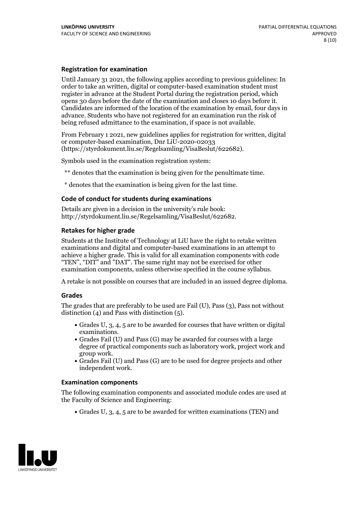#### **Registration for examination**

Until January 31 2021, the following applies according to previous guidelines: In order to take an written, digital or computer-based examination student must register in advance at the Student Portal during the registration period, which Candidates are informed of the location of the examination by email, four days in advance. Students who have not registered for an examination run the risk of being refused admittance to the examination, if space is not available.

From February 1 2021, new guidelines applies for registration for written, digital or computer-based examination, Dnr LiU-2020-02033 (https://styrdokument.liu.se/Regelsamling/VisaBeslut/622682).

Symbols used in the examination registration system:

\*\* denotes that the examination is being given for the penultimate time.

\* denotes that the examination is being given for the last time.

#### **Code of conduct for students during examinations**

Details are given in a decision in the university's rule book: http://styrdokument.liu.se/Regelsamling/VisaBeslut/622682.

### **Retakes for higher grade**

Students at the Institute of Technology at LiU have the right to retake written examinations and digital and computer-based examinations in an attempt to achieve a higher grade. This is valid for all examination components with code "TEN", "DIT" and "DAT". The same right may not be exercised for other examination components, unless otherwise specified in the course syllabus.

A retake is not possible on courses that are included in an issued degree diploma.

#### **Grades**

The grades that are preferably to be used are Fail (U), Pass (3), Pass not without distinction  $(4)$  and Pass with distinction  $(5)$ .

- Grades U, 3, 4, 5 are to be awarded for courses that have written or digital examinations.<br>• Grades Fail (U) and Pass (G) may be awarded for courses with a large
- degree of practical components such as laboratory work, project work and
- $\bullet$  Grades Fail (U) and Pass (G) are to be used for degree projects and other independent work.

#### **Examination components**

The following examination components and associated module codes are used at the Faculty of Science and Engineering:

Grades U, 3, 4, 5 are to be awarded for written examinations (TEN) and

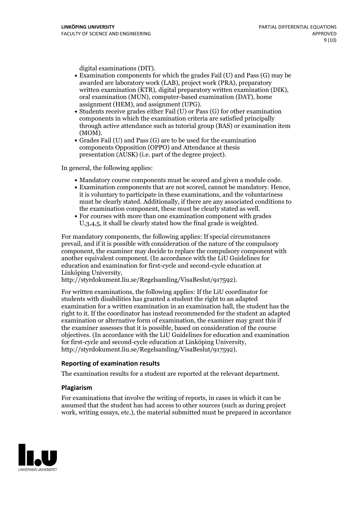- digital examinations (DIT).<br>• Examination components for which the grades Fail (U) and Pass (G) may be awarded are laboratory work (LAB), project work (PRA), preparatory written examination (KTR), digital preparatory written examination (DIK), oral examination (MUN), computer-based examination (DAT), home
- assignment (HEM), and assignment (UPG).<br>• Students receive grades either Fail (U) or Pass (G) for other examination components in which the examination criteria are satisfied principally through active attendance such as tutorial group (BAS) or examination item
- (MOM).<br>• Grades Fail (U) and Pass (G) are to be used for the examination components Opposition (OPPO) and Attendance at thesis presentation (AUSK) (i.e. part of the degree project).

In general, the following applies:

- 
- Mandatory course components must be scored and given <sup>a</sup> module code. Examination components that are not scored, cannot be mandatory. Hence, it is voluntary to participate in these examinations, and the voluntariness must be clearly stated. Additionally, if there are any associated conditions to the examination component, these must be clearly stated as well.<br>• For courses with more than one examination component with grades
- U,3,4,5, it shall be clearly stated how the final grade is weighted.

For mandatory components, the following applies: If special circumstances prevail, and if it is possible with consideration of the nature ofthe compulsory component, the examiner may decide to replace the compulsory component with another equivalent component. (In accordance with the LiU Guidelines for education and examination for first-cycle and second-cycle education at Linköping University, http://styrdokument.liu.se/Regelsamling/VisaBeslut/917592).

For written examinations, the following applies: If the LiU coordinator for students with disabilities has granted a student the right to an adapted examination for a written examination in an examination hall, the student has the right to it. If the coordinator has instead recommended for the student an adapted examination or alternative form of examination, the examiner may grant this if the examiner assesses that it is possible, based on consideration of the course objectives. (In accordance with the LiU Guidelines for education and examination for first-cycle and second-cycle education at Linköping University, http://styrdokument.liu.se/Regelsamling/VisaBeslut/917592).

#### **Reporting of examination results**

The examination results for a student are reported at the relevant department.

#### **Plagiarism**

For examinations that involve the writing of reports, in cases in which it can be assumed that the student has had access to other sources (such as during project work, writing essays, etc.), the material submitted must be prepared in accordance